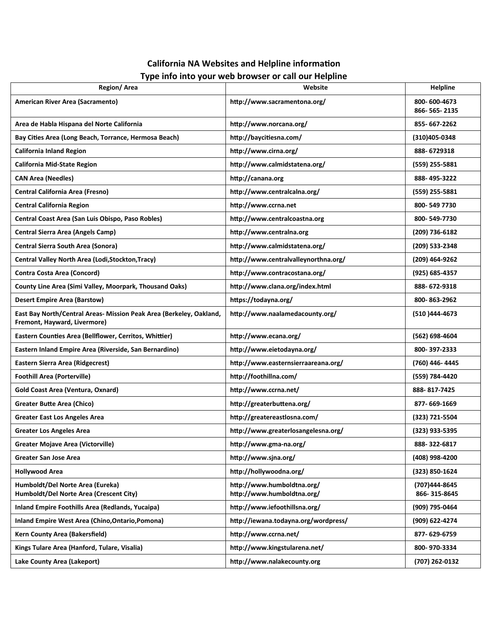## **California NA Websites and Helpline information Type info into your web browser or call our Helpline**

| Region/Area                                                                                         | Website                                                  | <b>Helpline</b>               |
|-----------------------------------------------------------------------------------------------------|----------------------------------------------------------|-------------------------------|
| American River Area (Sacramento)                                                                    | http://www.sacramentona.org/                             | 800-600-4673<br>866-565-2135  |
| Area de Habla Hispana del Norte California                                                          | http://www.norcana.org/                                  | 855-667-2262                  |
| Bay Cities Area (Long Beach, Torrance, Hermosa Beach)                                               | http://baycitiesna.com/                                  | (310)405-0348                 |
| <b>California Inland Region</b>                                                                     | http://www.cirna.org/                                    | 888-6729318                   |
| <b>California Mid-State Region</b>                                                                  | http://www.calmidstatena.org/                            | (559) 255-5881                |
| <b>CAN Area (Needles)</b>                                                                           | http://canana.org                                        | 888-495-3222                  |
| <b>Central California Area (Fresno)</b>                                                             | http://www.centralcalna.org/                             | (559) 255-5881                |
| <b>Central California Region</b>                                                                    | http://www.ccrna.net                                     | 800-5497730                   |
| Central Coast Area (San Luis Obispo, Paso Robles)                                                   | http://www.centralcoastna.org                            | 800-549-7730                  |
| Central Sierra Area (Angels Camp)                                                                   | http://www.centralna.org                                 | (209) 736-6182                |
| <b>Central Sierra South Area (Sonora)</b>                                                           | http://www.calmidstatena.org/                            | (209) 533-2348                |
| Central Valley North Area (Lodi, Stockton, Tracy)                                                   | http://www.centralvalleynorthna.org/                     | (209) 464-9262                |
| <b>Contra Costa Area (Concord)</b>                                                                  | http://www.contracostana.org/                            | (925) 685-4357                |
| County Line Area (Simi Valley, Moorpark, Thousand Oaks)                                             | http://www.clana.org/index.html                          | 888-672-9318                  |
| <b>Desert Empire Area (Barstow)</b>                                                                 | https://todayna.org/                                     | 800-863-2962                  |
| East Bay North/Central Areas- Mission Peak Area (Berkeley, Oakland,<br>Fremont, Hayward, Livermore) | http://www.naalamedacounty.org/                          | (510 ) 444-4673               |
| Eastern Counties Area (Bellflower, Cerritos, Whittier)                                              | http://www.ecana.org/                                    | (562) 698-4604                |
| Eastern Inland Empire Area (Riverside, San Bernardino)                                              | http://www.eietodayna.org/                               | 800-397-2333                  |
| Eastern Sierra Area (Ridgecrest)                                                                    | http://www.easternsierraareana.org/                      | (760) 446-4445                |
| <b>Foothill Area (Porterville)</b>                                                                  | http://foothillna.com/                                   | (559) 784-4420                |
| Gold Coast Area (Ventura, Oxnard)                                                                   | http://www.ccrna.net/                                    | 888-817-7425                  |
| <b>Greater Butte Area (Chico)</b>                                                                   | http://greaterbuttena.org/                               | 877-669-1669                  |
| <b>Greater East Los Angeles Area</b>                                                                | http://greatereastlosna.com/                             | (323) 721-5504                |
| <b>Greater Los Angeles Area</b>                                                                     | http://www.greaterlosangelesna.org/                      | (323) 933-5395                |
| <b>Greater Mojave Area (Victorville)</b>                                                            | http://www.gma-na.org/                                   | 888-322-6817                  |
| Greater San Jose Area                                                                               | http://www.sjna.org/                                     | (408) 998-4200                |
| <b>Hollywood Area</b>                                                                               | http://hollywoodna.org/                                  | (323) 850-1624                |
| Humboldt/Del Norte Area (Eureka)<br>Humboldt/Del Norte Area (Crescent City)                         | http://www.humboldtna.org/<br>http://www.humboldtna.org/ | (707)444-8645<br>866-315-8645 |
| Inland Empire Foothills Area (Redlands, Yucaipa)                                                    | http://www.iefoothillsna.org/                            | (909) 795-0464                |
| Inland Empire West Area (Chino, Ontario, Pomona)                                                    | http://iewana.todayna.org/wordpress/                     | (909) 622-4274                |
| Kern County Area (Bakersfield)                                                                      | http://www.ccrna.net/                                    | 877-629-6759                  |
| Kings Tulare Area (Hanford, Tulare, Visalia)                                                        | http://www.kingstularena.net/                            | 800-970-3334                  |
| Lake County Area (Lakeport)                                                                         | http://www.nalakecounty.org                              | (707) 262-0132                |